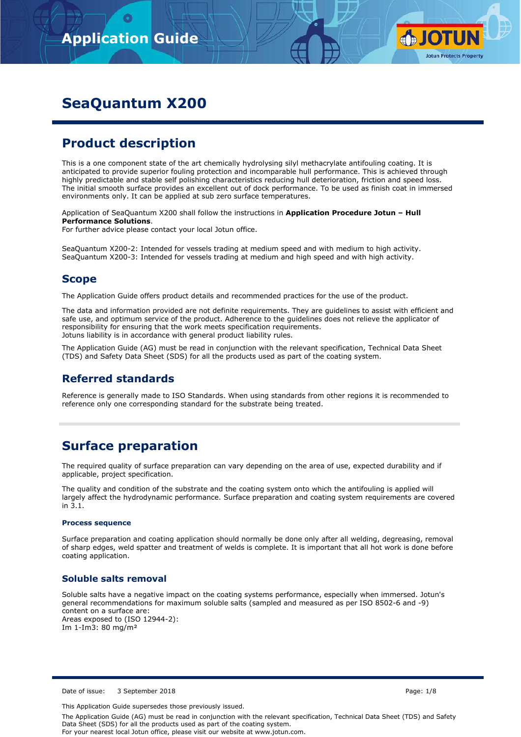

# **SeaQuantum X200**

# **Product description**

This is a one component state of the art chemically hydrolysing silyl methacrylate antifouling coating. It is anticipated to provide superior fouling protection and incomparable hull performance. This is achieved through highly predictable and stable self polishing characteristics reducing hull deterioration, friction and speed loss. The initial smooth surface provides an excellent out of dock performance. To be used as finish coat in immersed environments only. It can be applied at sub zero surface temperatures.

Application of SeaQuantum X200 shall follow the instructions in **Application Procedure Jotun – Hull Performance Solutions**.

For further advice please contact your local Jotun office.

SeaQuantum X200-2: Intended for vessels trading at medium speed and with medium to high activity. SeaQuantum X200-3: Intended for vessels trading at medium and high speed and with high activity.

## **Scope**

The Application Guide offers product details and recommended practices for the use of the product.

The data and information provided are not definite requirements. They are guidelines to assist with efficient and safe use, and optimum service of the product. Adherence to the guidelines does not relieve the applicator of responsibility for ensuring that the work meets specification requirements. Jotuns liability is in accordance with general product liability rules.

The Application Guide (AG) must be read in conjunction with the relevant specification, Technical Data Sheet (TDS) and Safety Data Sheet (SDS) for all the products used as part of the coating system.

## **Referred standards**

Reference is generally made to ISO Standards. When using standards from other regions it is recommended to reference only one corresponding standard for the substrate being treated.

## **Surface preparation**

The required quality of surface preparation can vary depending on the area of use, expected durability and if applicable, project specification.

The quality and condition of the substrate and the coating system onto which the antifouling is applied will largely affect the hydrodynamic performance. Surface preparation and coating system requirements are covered in 3.1.

#### **Process sequence**

Surface preparation and coating application should normally be done only after all welding, degreasing, removal of sharp edges, weld spatter and treatment of welds is complete. It is important that all hot work is done before coating application.

## **Soluble salts removal**

Soluble salts have a negative impact on the coating systems performance, especially when immersed. Jotun's general recommendations for maximum soluble salts (sampled and measured as per ISO 8502-6 and -9) content on a surface are: Areas exposed to (ISO 12944-2): Im 1-Im3: 80 mg/m²

This Application Guide supersedes those previously issued.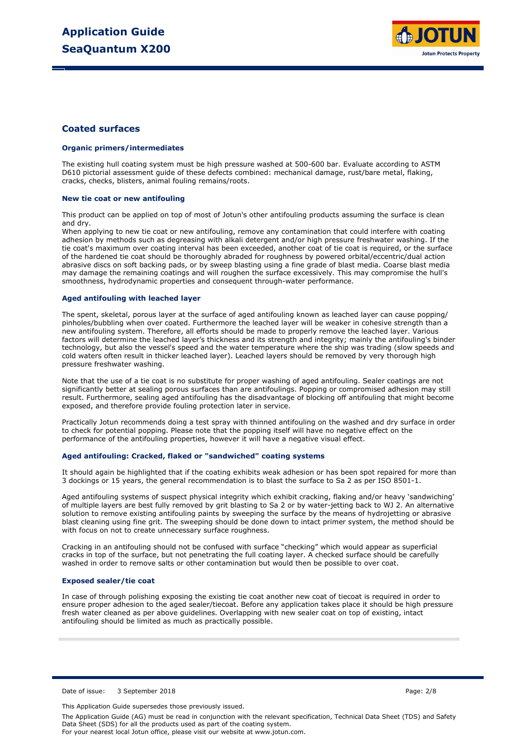

### **Coated surfaces**

#### **Organic primers/intermediates**

The existing hull coating system must be high pressure washed at 500-600 bar. Evaluate according to ASTM D610 pictorial assessment guide of these defects combined: mechanical damage, rust/bare metal, flaking, cracks, checks, blisters, animal fouling remains/roots.

#### **New tie coat or new antifouling**

This product can be applied on top of most of Jotun's other antifouling products assuming the surface is clean and dry.

When applying to new tie coat or new antifouling, remove any contamination that could interfere with coating adhesion by methods such as degreasing with alkali detergent and/or high pressure freshwater washing. If the tie coat's maximum over coating interval has been exceeded, another coat of tie coat is required, or the surface of the hardened tie coat should be thoroughly abraded for roughness by powered orbital/eccentric/dual action abrasive discs on soft backing pads, or by sweep blasting using a fine grade of blast media. Coarse blast media may damage the remaining coatings and will roughen the surface excessively. This may compromise the hull's smoothness, hydrodynamic properties and consequent through-water performance.

#### **Aged antifouling with leached layer**

The spent, skeletal, porous layer at the surface of aged antifouling known as leached layer can cause popping/ pinholes/bubbling when over coated. Furthermore the leached layer will be weaker in cohesive strength than a new antifouling system. Therefore, all efforts should be made to properly remove the leached layer. Various factors will determine the leached layer's thickness and its strength and integrity; mainly the antifouling's binder technology, but also the vessel's speed and the water temperature where the ship was trading (slow speeds and cold waters often result in thicker leached layer). Leached layers should be removed by very thorough high pressure freshwater washing.

Note that the use of a tie coat is no substitute for proper washing of aged antifouling. Sealer coatings are not significantly better at sealing porous surfaces than are antifoulings. Popping or compromised adhesion may still result. Furthermore, sealing aged antifouling has the disadvantage of blocking off antifouling that might become exposed, and therefore provide fouling protection later in service.

Practically Jotun recommends doing a test spray with thinned antifouling on the washed and dry surface in order to check for potential popping. Please note that the popping itself will have no negative effect on the performance of the antifouling properties, however it will have a negative visual effect.

#### **Aged antifouling: Cracked, flaked or "sandwiched" coating systems**

It should again be highlighted that if the coating exhibits weak adhesion or has been spot repaired for more than 3 dockings or 15 years, the general recommendation is to blast the surface to Sa 2 as per ISO 8501-1.

Aged antifouling systems of suspect physical integrity which exhibit cracking, flaking and/or heavy 'sandwiching' of multiple layers are best fully removed by grit blasting to Sa 2 or by water-jetting back to WJ 2. An alternative solution to remove existing antifouling paints by sweeping the surface by the means of hydrojetting or abrasive blast cleaning using fine grit. The sweeping should be done down to intact primer system, the method should be with focus on not to create unnecessary surface roughness.

Cracking in an antifouling should not be confused with surface "checking" which would appear as superficial cracks in top of the surface, but not penetrating the full coating layer. A checked surface should be carefully washed in order to remove salts or other contamination but would then be possible to over coat.

#### **Exposed sealer/tie coat**

In case of through polishing exposing the existing tie coat another new coat of tiecoat is required in order to ensure proper adhesion to the aged sealer/tiecoat. Before any application takes place it should be high pressure fresh water cleaned as per above guidelines. Overlapping with new sealer coat on top of existing, intact antifouling should be limited as much as practically possible.

Date of issue: 3 September 2018 **Page: 2018** Page: 2/8

This Application Guide supersedes those previously issued.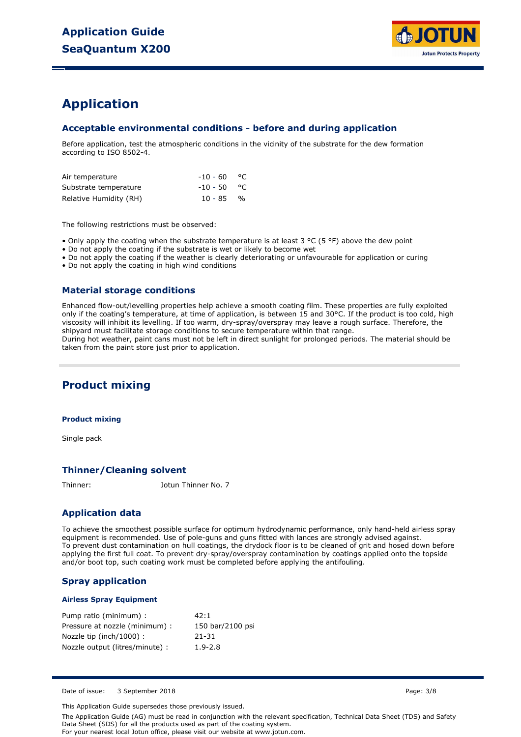

## **Application**

## **Acceptable environmental conditions - before and during application**

Before application, test the atmospheric conditions in the vicinity of the substrate for the dew formation according to ISO 8502-4.

| Air temperature        | $-10 - 60$ °C |  |
|------------------------|---------------|--|
| Substrate temperature  | $-10 - 50$ °C |  |
| Relative Humidity (RH) | $10 - 85$ %   |  |

The following restrictions must be observed:

• Only apply the coating when the substrate temperature is at least 3 °C (5 °F) above the dew point

• Do not apply the coating if the substrate is wet or likely to become wet

• Do not apply the coating if the weather is clearly deteriorating or unfavourable for application or curing

• Do not apply the coating in high wind conditions

## **Material storage conditions**

Enhanced flow-out/levelling properties help achieve a smooth coating film. These properties are fully exploited only if the coating's temperature, at time of application, is between 15 and 30°C. If the product is too cold, high viscosity will inhibit its levelling. If too warm, dry-spray/overspray may leave a rough surface. Therefore, the shipyard must facilitate storage conditions to secure temperature within that range. During hot weather, paint cans must not be left in direct sunlight for prolonged periods. The material should be

taken from the paint store just prior to application.

## **Product mixing**

#### **Product mixing**

Single pack

### **Thinner/Cleaning solvent**

Thinner: Jotun Thinner No. 7

## **Application data**

To achieve the smoothest possible surface for optimum hydrodynamic performance, only hand-held airless spray equipment is recommended. Use of pole-guns and guns fitted with lances are strongly advised against. To prevent dust contamination on hull coatings, the drydock floor is to be cleaned of grit and hosed down before applying the first full coat. To prevent dry-spray/overspray contamination by coatings applied onto the topside and/or boot top, such coating work must be completed before applying the antifouling.

### **Spray application**

### **Airless Spray Equipment**

| Pump ratio (minimum) :          | 42:1             |
|---------------------------------|------------------|
| Pressure at nozzle (minimum) :  | 150 bar/2100 psi |
| Nozzle tip (inch/1000):         | 21-31            |
| Nozzle output (litres/minute) : | $1.9 - 2.8$      |

Date of issue: 3 September 2018 **Page: 3/8** Page: 3/8

This Application Guide supersedes those previously issued.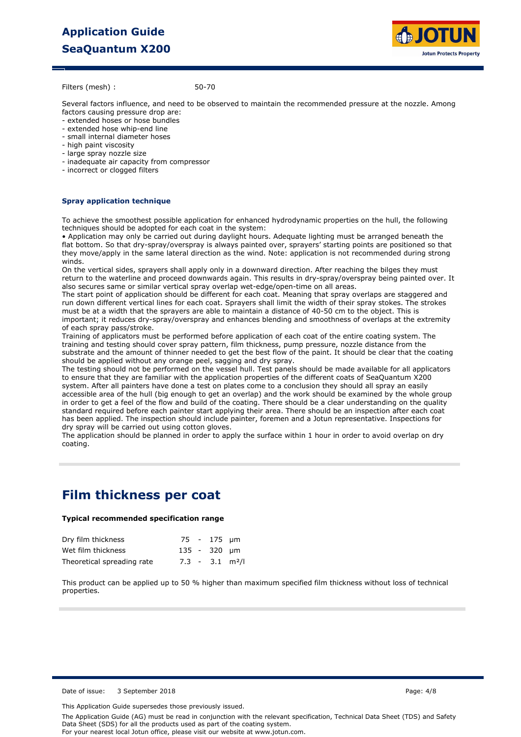# **Application Guide SeaQuantum X200**



Filters (mesh) :

50-70

Several factors influence, and need to be observed to maintain the recommended pressure at the nozzle. Among factors causing pressure drop are:

- extended hoses or hose bundles
- extended hose whip-end line
- small internal diameter hoses
- high paint viscosity
- large spray nozzle size
- inadequate air capacity from compressor
- incorrect or clogged filters

### **Spray application technique**

To achieve the smoothest possible application for enhanced hydrodynamic properties on the hull, the following techniques should be adopted for each coat in the system:

• Application may only be carried out during daylight hours. Adequate lighting must be arranged beneath the flat bottom. So that dry-spray/overspray is always painted over, sprayers' starting points are positioned so that they move/apply in the same lateral direction as the wind. Note: application is not recommended during strong winds.

On the vertical sides, sprayers shall apply only in a downward direction. After reaching the bilges they must return to the waterline and proceed downwards again. This results in dry-spray/overspray being painted over. It also secures same or similar vertical spray overlap wet-edge/open-time on all areas.

The start point of application should be different for each coat. Meaning that spray overlaps are staggered and run down different vertical lines for each coat. Sprayers shall limit the width of their spray stokes. The strokes must be at a width that the sprayers are able to maintain a distance of 40-50 cm to the object. This is important; it reduces dry-spray/overspray and enhances blending and smoothness of overlaps at the extremity of each spray pass/stroke.

Training of applicators must be performed before application of each coat of the entire coating system. The training and testing should cover spray pattern, film thickness, pump pressure, nozzle distance from the substrate and the amount of thinner needed to get the best flow of the paint. It should be clear that the coating should be applied without any orange peel, sagging and dry spray.

The testing should not be performed on the vessel hull. Test panels should be made available for all applicators to ensure that they are familiar with the application properties of the different coats of SeaQuantum X200 system. After all painters have done a test on plates come to a conclusion they should all spray an easily accessible area of the hull (big enough to get an overlap) and the work should be examined by the whole group in order to get a feel of the flow and build of the coating. There should be a clear understanding on the quality standard required before each painter start applying their area. There should be an inspection after each coat has been applied. The inspection should include painter, foremen and a Jotun representative. Inspections for dry spray will be carried out using cotton gloves.

The application should be planned in order to apply the surface within 1 hour in order to avoid overlap on dry coating.

## **Film thickness per coat**

### **Typical recommended specification range**

| Dry film thickness         |  | 75 - 175 µm                   |  |
|----------------------------|--|-------------------------------|--|
| Wet film thickness         |  | 135 - 320 um                  |  |
| Theoretical spreading rate |  | $7.3 - 3.1$ m <sup>2</sup> /l |  |

This product can be applied up to 50 % higher than maximum specified film thickness without loss of technical properties.

Date of issue: 3 September 2018 **Page: 4/8** Page: 4/8

This Application Guide supersedes those previously issued.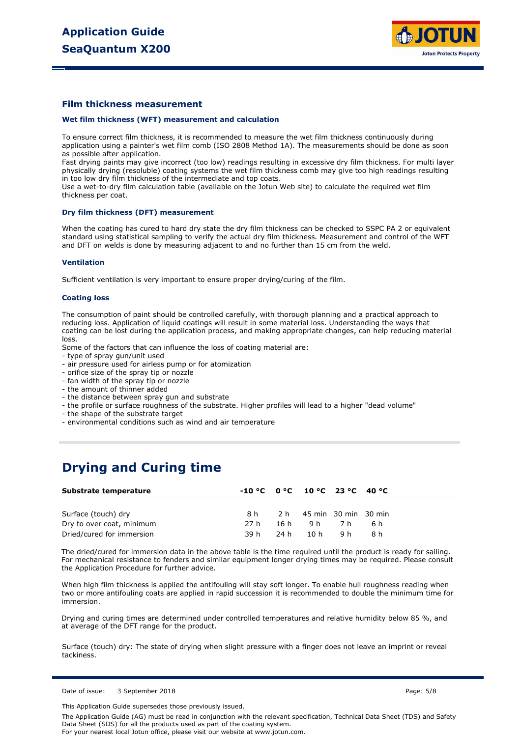

### **Film thickness measurement**

#### **Wet film thickness (WFT) measurement and calculation**

To ensure correct film thickness, it is recommended to measure the wet film thickness continuously during application using a painter's wet film comb (ISO 2808 Method 1A). The measurements should be done as soon as possible after application.

Fast drying paints may give incorrect (too low) readings resulting in excessive dry film thickness. For multi layer physically drying (resoluble) coating systems the wet film thickness comb may give too high readings resulting in too low dry film thickness of the intermediate and top coats.

Use a wet-to-dry film calculation table (available on the Jotun Web site) to calculate the required wet film thickness per coat.

#### **Dry film thickness (DFT) measurement**

When the coating has cured to hard dry state the dry film thickness can be checked to SSPC PA 2 or equivalent standard using statistical sampling to verify the actual dry film thickness. Measurement and control of the WFT and DFT on welds is done by measuring adjacent to and no further than 15 cm from the weld.

#### **Ventilation**

Sufficient ventilation is very important to ensure proper drying/curing of the film.

#### **Coating loss**

The consumption of paint should be controlled carefully, with thorough planning and a practical approach to reducing loss. Application of liquid coatings will result in some material loss. Understanding the ways that coating can be lost during the application process, and making appropriate changes, can help reducing material loss.

Some of the factors that can influence the loss of coating material are:

- type of spray gun/unit used
- air pressure used for airless pump or for atomization
- orifice size of the spray tip or nozzle
- fan width of the spray tip or nozzle
- the amount of thinner added
- the distance between spray gun and substrate
- the profile or surface roughness of the substrate. Higher profiles will lead to a higher "dead volume"
- the shape of the substrate target
- environmental conditions such as wind and air temperature

## **Drying and Curing time**

| Substrate temperature     |      | $-10 °C$ $0 °C$ $10 °C$ $23 °C$ $40 °C$ |     |      |  |
|---------------------------|------|-----------------------------------------|-----|------|--|
| Surface (touch) dry       | 8 h  | 2 h 45 min 30 min 30 min                |     |      |  |
| Dry to over coat, minimum | 27 h | 16h 9h 7h                               |     | .6 h |  |
| Dried/cured for immersion | 39 h | 24h 10h                                 | 9 h | 8h   |  |

The dried/cured for immersion data in the above table is the time required until the product is ready for sailing. For mechanical resistance to fenders and similar equipment longer drying times may be required. Please consult the Application Procedure for further advice.

When high film thickness is applied the antifouling will stay soft longer. To enable hull roughness reading when two or more antifouling coats are applied in rapid succession it is recommended to double the minimum time for immersion.

Drying and curing times are determined under controlled temperatures and relative humidity below 85 %, and at average of the DFT range for the product.

Surface (touch) dry: The state of drying when slight pressure with a finger does not leave an imprint or reveal tackiness.

Date of issue: 3 September 2018 **Page: 5/8** Page: 5/8

This Application Guide supersedes those previously issued.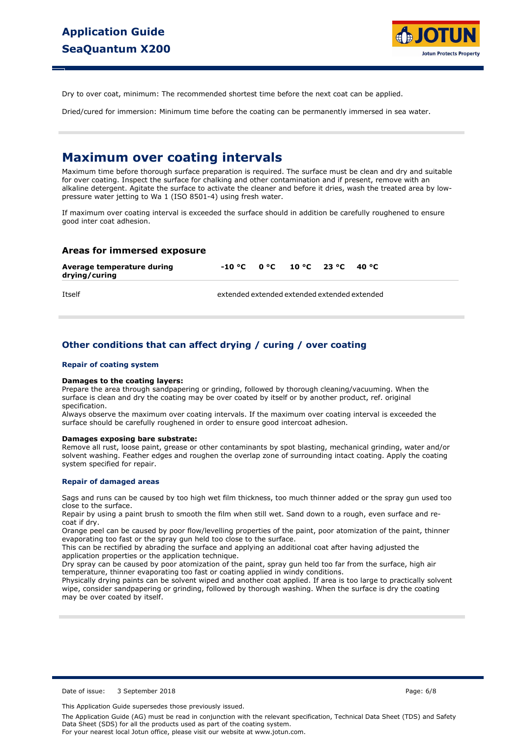

Dry to over coat, minimum: The recommended shortest time before the next coat can be applied.

Dried/cured for immersion: Minimum time before the coating can be permanently immersed in sea water.

## **Maximum over coating intervals**

Maximum time before thorough surface preparation is required. The surface must be clean and dry and suitable for over coating. Inspect the surface for chalking and other contamination and if present, remove with an alkaline detergent. Agitate the surface to activate the cleaner and before it dries, wash the treated area by lowpressure water jetting to Wa 1 (ISO 8501-4) using fresh water.

If maximum over coating interval is exceeded the surface should in addition be carefully roughened to ensure good inter coat adhesion.

### **Areas for immersed exposure**

| Average temperature during<br>drying/curing | $-10 °C$ $0 °C$ $10 °C$ $23 °C$              |  | 40 °C |  |
|---------------------------------------------|----------------------------------------------|--|-------|--|
| <b>Ttself</b>                               | extended extended extended extended extended |  |       |  |

## **Other conditions that can affect drying / curing / over coating**

#### **Repair of coating system**

#### **Damages to the coating layers:**

Prepare the area through sandpapering or grinding, followed by thorough cleaning/vacuuming. When the surface is clean and dry the coating may be over coated by itself or by another product, ref. original specification.

Always observe the maximum over coating intervals. If the maximum over coating interval is exceeded the surface should be carefully roughened in order to ensure good intercoat adhesion.

#### **Damages exposing bare substrate:**

Remove all rust, loose paint, grease or other contaminants by spot blasting, mechanical grinding, water and/or solvent washing. Feather edges and roughen the overlap zone of surrounding intact coating. Apply the coating system specified for repair.

#### **Repair of damaged areas**

Sags and runs can be caused by too high wet film thickness, too much thinner added or the spray gun used too close to the surface.

Repair by using a paint brush to smooth the film when still wet. Sand down to a rough, even surface and recoat if dry.

Orange peel can be caused by poor flow/levelling properties of the paint, poor atomization of the paint, thinner evaporating too fast or the spray gun held too close to the surface.

This can be rectified by abrading the surface and applying an additional coat after having adjusted the application properties or the application technique.

Dry spray can be caused by poor atomization of the paint, spray gun held too far from the surface, high air temperature, thinner evaporating too fast or coating applied in windy conditions.

Physically drying paints can be solvent wiped and another coat applied. If area is too large to practically solvent wipe, consider sandpapering or grinding, followed by thorough washing. When the surface is dry the coating may be over coated by itself.

Date of issue: 3 September 2018 **Page: 6/8** Page: 6/8

This Application Guide supersedes those previously issued.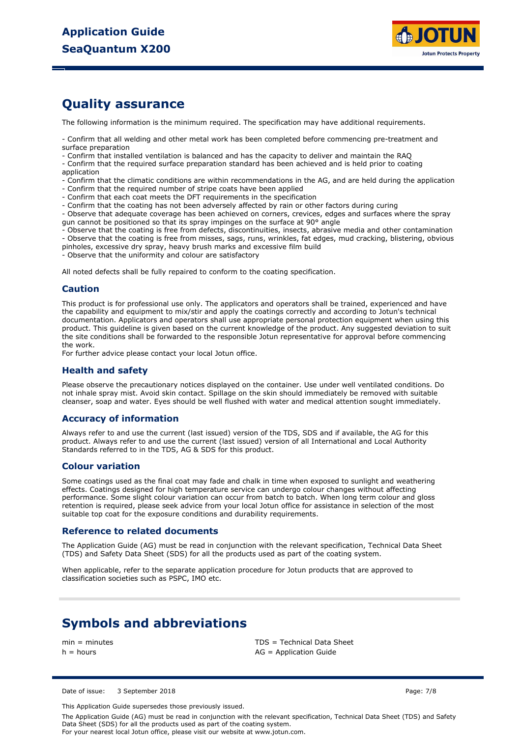

## **Quality assurance**

The following information is the minimum required. The specification may have additional requirements.

- Confirm that all welding and other metal work has been completed before commencing pre-treatment and surface preparation

- Confirm that installed ventilation is balanced and has the capacity to deliver and maintain the RAQ

- Confirm that the required surface preparation standard has been achieved and is held prior to coating application

- Confirm that the climatic conditions are within recommendations in the AG, and are held during the application

- Confirm that the required number of stripe coats have been applied
- Confirm that each coat meets the DFT requirements in the specification
- Confirm that the coating has not been adversely affected by rain or other factors during curing

- Observe that adequate coverage has been achieved on corners, crevices, edges and surfaces where the spray gun cannot be positioned so that its spray impinges on the surface at 90° angle

- Observe that the coating is free from defects, discontinuities, insects, abrasive media and other contamination

- Observe that the coating is free from misses, sags, runs, wrinkles, fat edges, mud cracking, blistering, obvious

pinholes, excessive dry spray, heavy brush marks and excessive film build - Observe that the uniformity and colour are satisfactory

All noted defects shall be fully repaired to conform to the coating specification.

### **Caution**

This product is for professional use only. The applicators and operators shall be trained, experienced and have the capability and equipment to mix/stir and apply the coatings correctly and according to Jotun's technical documentation. Applicators and operators shall use appropriate personal protection equipment when using this product. This guideline is given based on the current knowledge of the product. Any suggested deviation to suit the site conditions shall be forwarded to the responsible Jotun representative for approval before commencing the work.

For further advice please contact your local Jotun office.

### **Health and safety**

Please observe the precautionary notices displayed on the container. Use under well ventilated conditions. Do not inhale spray mist. Avoid skin contact. Spillage on the skin should immediately be removed with suitable cleanser, soap and water. Eyes should be well flushed with water and medical attention sought immediately.

### **Accuracy of information**

Always refer to and use the current (last issued) version of the TDS, SDS and if available, the AG for this product. Always refer to and use the current (last issued) version of all International and Local Authority Standards referred to in the TDS, AG & SDS for this product.

### **Colour variation**

Some coatings used as the final coat may fade and chalk in time when exposed to sunlight and weathering effects. Coatings designed for high temperature service can undergo colour changes without affecting performance. Some slight colour variation can occur from batch to batch. When long term colour and gloss retention is required, please seek advice from your local Jotun office for assistance in selection of the most suitable top coat for the exposure conditions and durability requirements.

### **Reference to related documents**

The Application Guide (AG) must be read in conjunction with the relevant specification, Technical Data Sheet (TDS) and Safety Data Sheet (SDS) for all the products used as part of the coating system.

When applicable, refer to the separate application procedure for Jotun products that are approved to classification societies such as PSPC, IMO etc.

## **Symbols and abbreviations**

min = minutes TDS = Technical Data Sheet  $h =$  hours  $AG =$  Application Guide

Date of issue: 3 September 2018 **Page: 7/8** Page: 7/8

This Application Guide supersedes those previously issued.